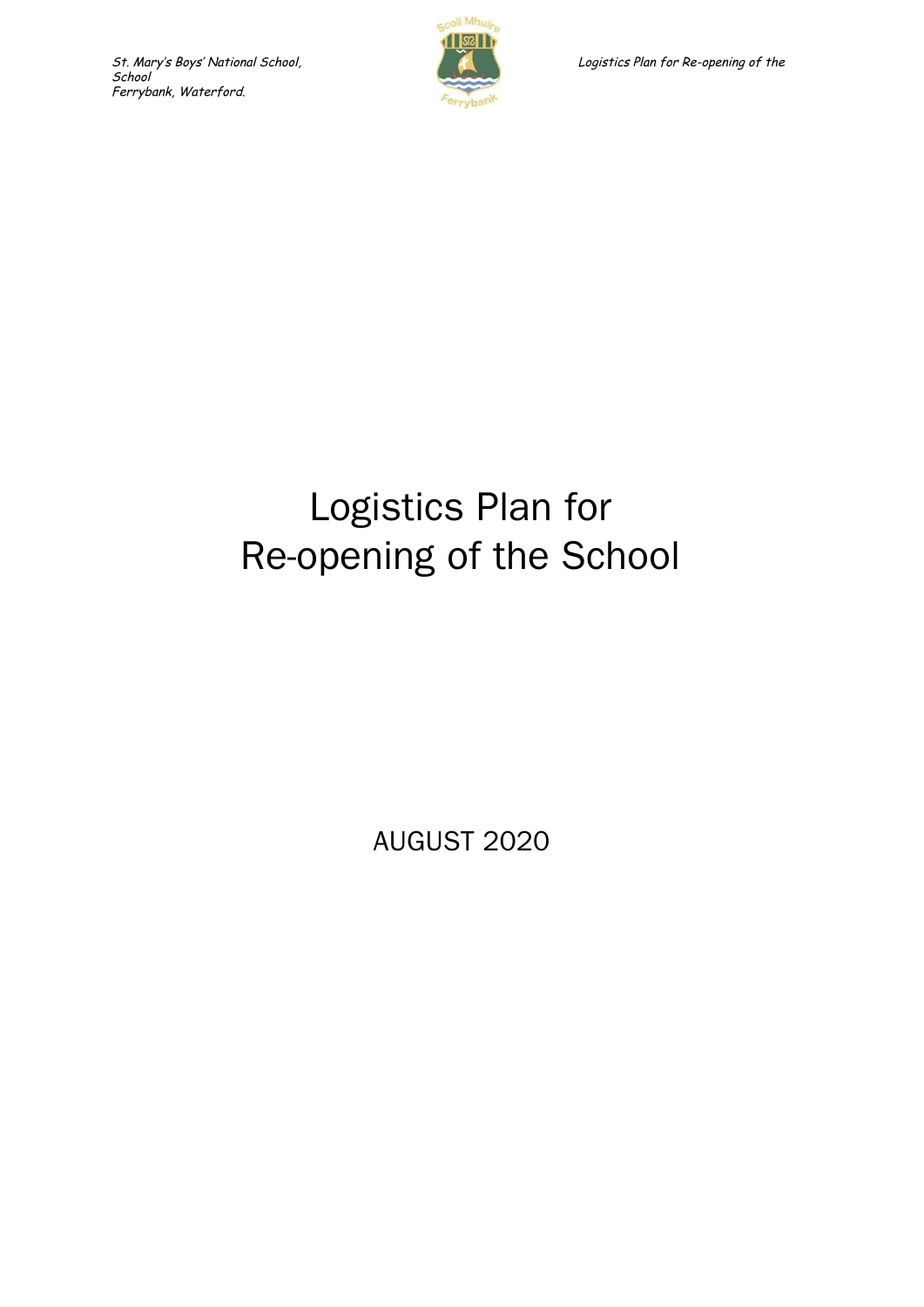

# Logistics Plan for Re-opening of the School

AUGUST 2020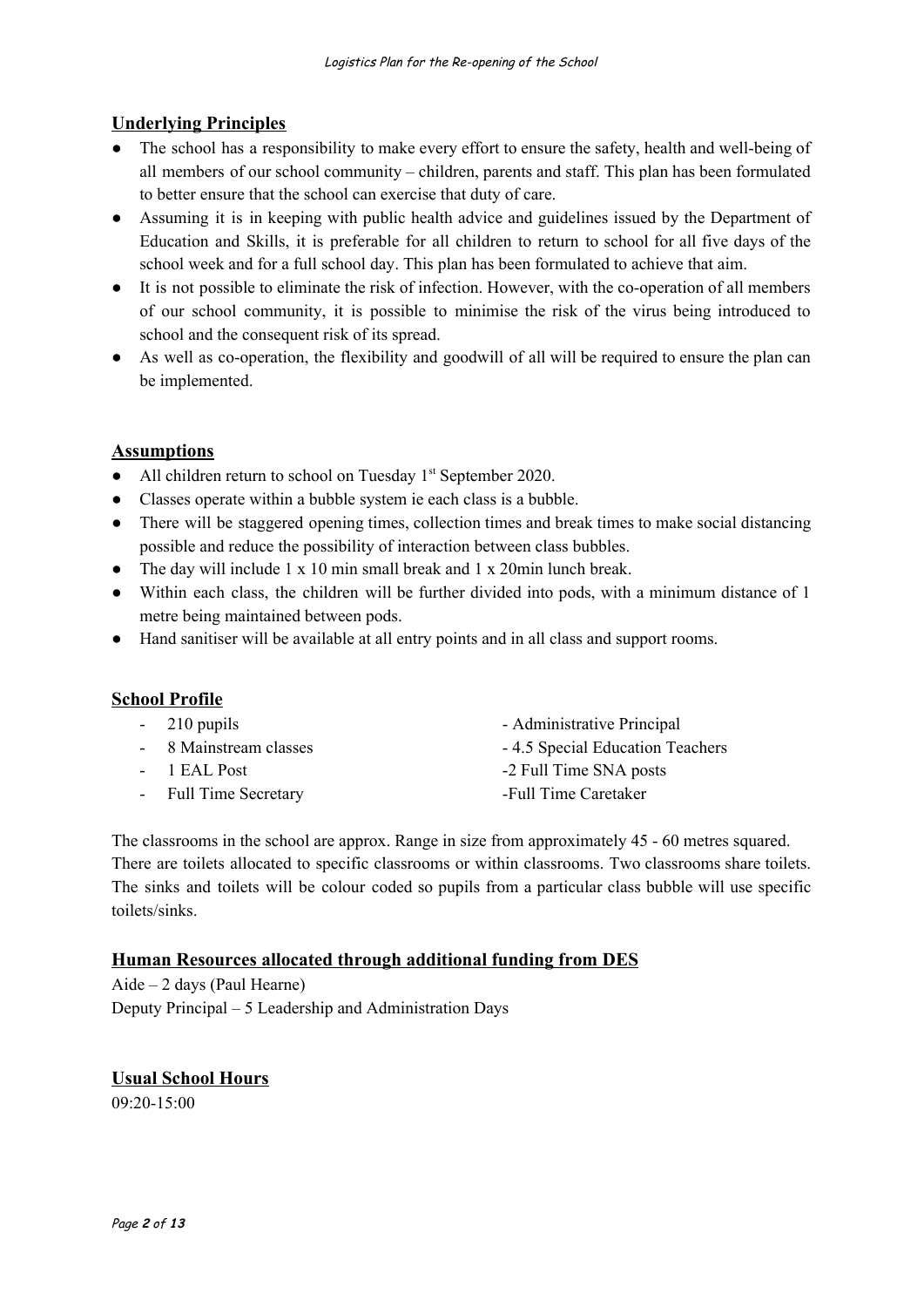# **Underlying Principles**

- The school has a responsibility to make every effort to ensure the safety, health and well-being of all members of our school community – children, parents and staff. This plan has been formulated to better ensure that the school can exercise that duty of care.
- Assuming it is in keeping with public health advice and guidelines issued by the Department of Education and Skills, it is preferable for all children to return to school for all five days of the school week and for a full school day. This plan has been formulated to achieve that aim.
- It is not possible to eliminate the risk of infection. However, with the co-operation of all members of our school community, it is possible to minimise the risk of the virus being introduced to school and the consequent risk of its spread.
- As well as co-operation, the flexibility and goodwill of all will be required to ensure the plan can be implemented.

## **Assumptions**

- All children return to school on Tuesday 1<sup>st</sup> September 2020.
- Classes operate within a bubble system ie each class is a bubble.
- There will be staggered opening times, collection times and break times to make social distancing possible and reduce the possibility of interaction between class bubbles.
- The day will include 1 x 10 min small break and 1 x 20min lunch break.
- Within each class, the children will be further divided into pods, with a minimum distance of 1 metre being maintained between pods.
- Hand sanitiser will be available at all entry points and in all class and support rooms.

# **School Profile**

| $-210$ pupils          | - Administrative Principal      |
|------------------------|---------------------------------|
| - 8 Mainstream classes | -4.5 Special Education Teachers |
| - 1 EAL Post           | -2 Full Time SNA posts          |
| - Full Time Secretary  | -Full Time Caretaker            |
|                        |                                 |

The classrooms in the school are approx. Range in size from approximately 45 - 60 metres squared. There are toilets allocated to specific classrooms or within classrooms. Two classrooms share toilets. The sinks and toilets will be colour coded so pupils from a particular class bubble will use specific toilets/sinks.

#### **Human Resources allocated through additional funding from DES**

Aide – 2 days (Paul Hearne) Deputy Principal – 5 Leadership and Administration Days

# **Usual School Hours**

09:20-15:00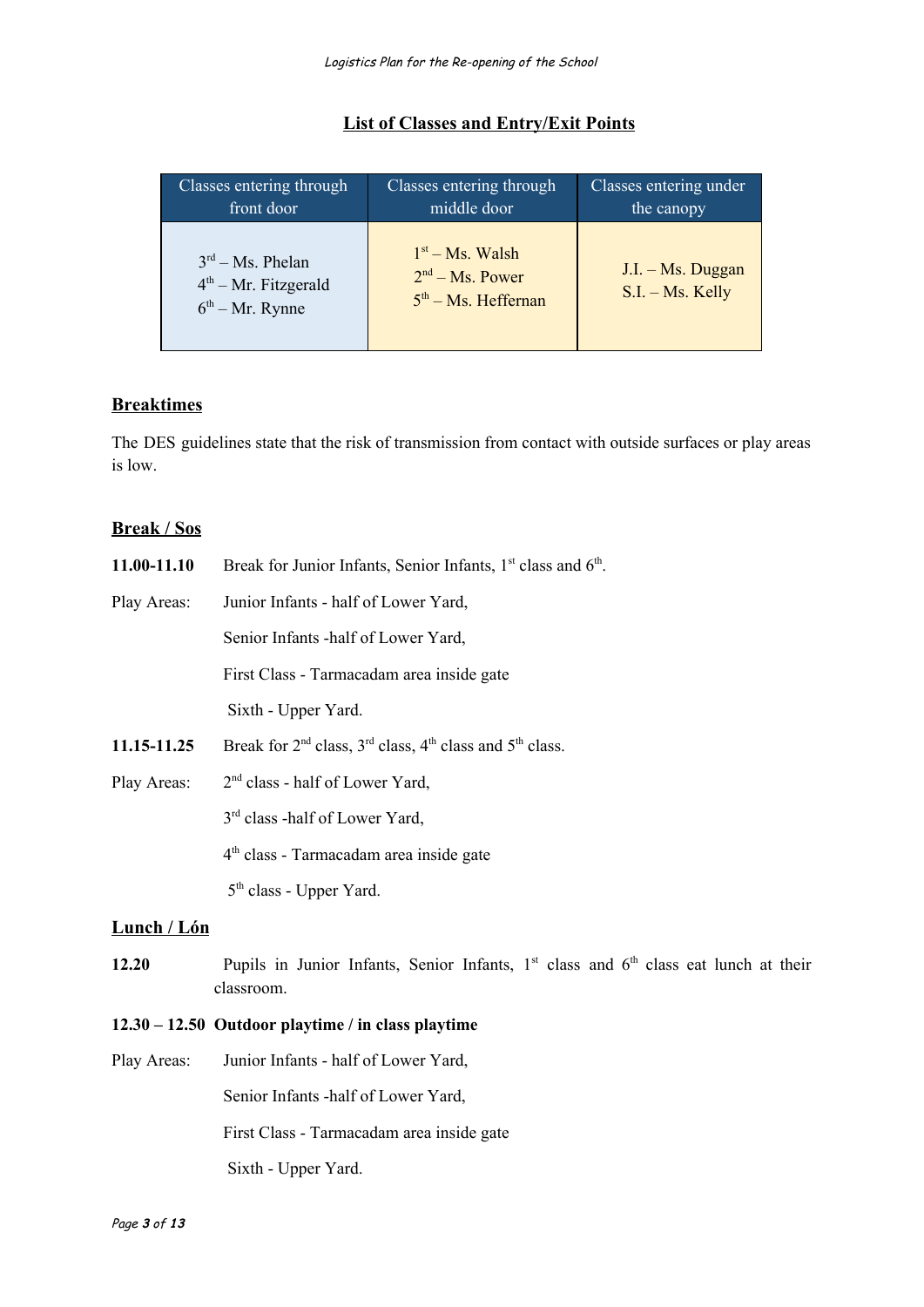| Classes entering through                                          | Classes entering through                                           | Classes entering under                  |
|-------------------------------------------------------------------|--------------------------------------------------------------------|-----------------------------------------|
| front door                                                        | middle door                                                        | the canopy                              |
| $3rd - Ms. Phelan$<br>$4th$ – Mr. Fitzgerald<br>$6th - Mr. Rynne$ | $1st - Ms$ . Walsh<br>$2nd - Ms$ . Power<br>$5th - Ms$ . Heffernan | J.I. - Ms. Duggan<br>$S.I. - Ms. Kelly$ |

#### **List of Classes and Entry/Exit Points**

# **Breaktimes**

The DES guidelines state that the risk of transmission from contact with outside surfaces or play areas is low.

#### **Break / Sos**

| 11.00-11.10         | Break for Junior Infants, Senior Infants, 1 <sup>st</sup> class and 6 <sup>th</sup> .                  |
|---------------------|--------------------------------------------------------------------------------------------------------|
| Play Areas:         | Junior Infants - half of Lower Yard,                                                                   |
|                     | Senior Infants - half of Lower Yard,                                                                   |
|                     | First Class - Tarmacadam area inside gate                                                              |
|                     | Sixth - Upper Yard.                                                                                    |
| 11.15-11.25         | Break for $2nd$ class, $3rd$ class, $4th$ class and $5th$ class.                                       |
| Play Areas:         | $2nd$ class - half of Lower Yard,                                                                      |
|                     | 3 <sup>rd</sup> class -half of Lower Yard,                                                             |
|                     | 4 <sup>th</sup> class - Tarmacadam area inside gate                                                    |
|                     | $5th$ class - Upper Yard.                                                                              |
| <u> Lunch / Lón</u> |                                                                                                        |
| 12.20               | Pupils in Junior Infants, Senior Infants, $1st$ class and $6th$ class eat lunch at their<br>classroom. |

#### **12.30 – 12.50 Outdoor playtime / in class playtime**

Play Areas: Junior Infants - half of Lower Yard, Senior Infants -half of Lower Yard, First Class - Tarmacadam area inside gate Sixth - Upper Yard.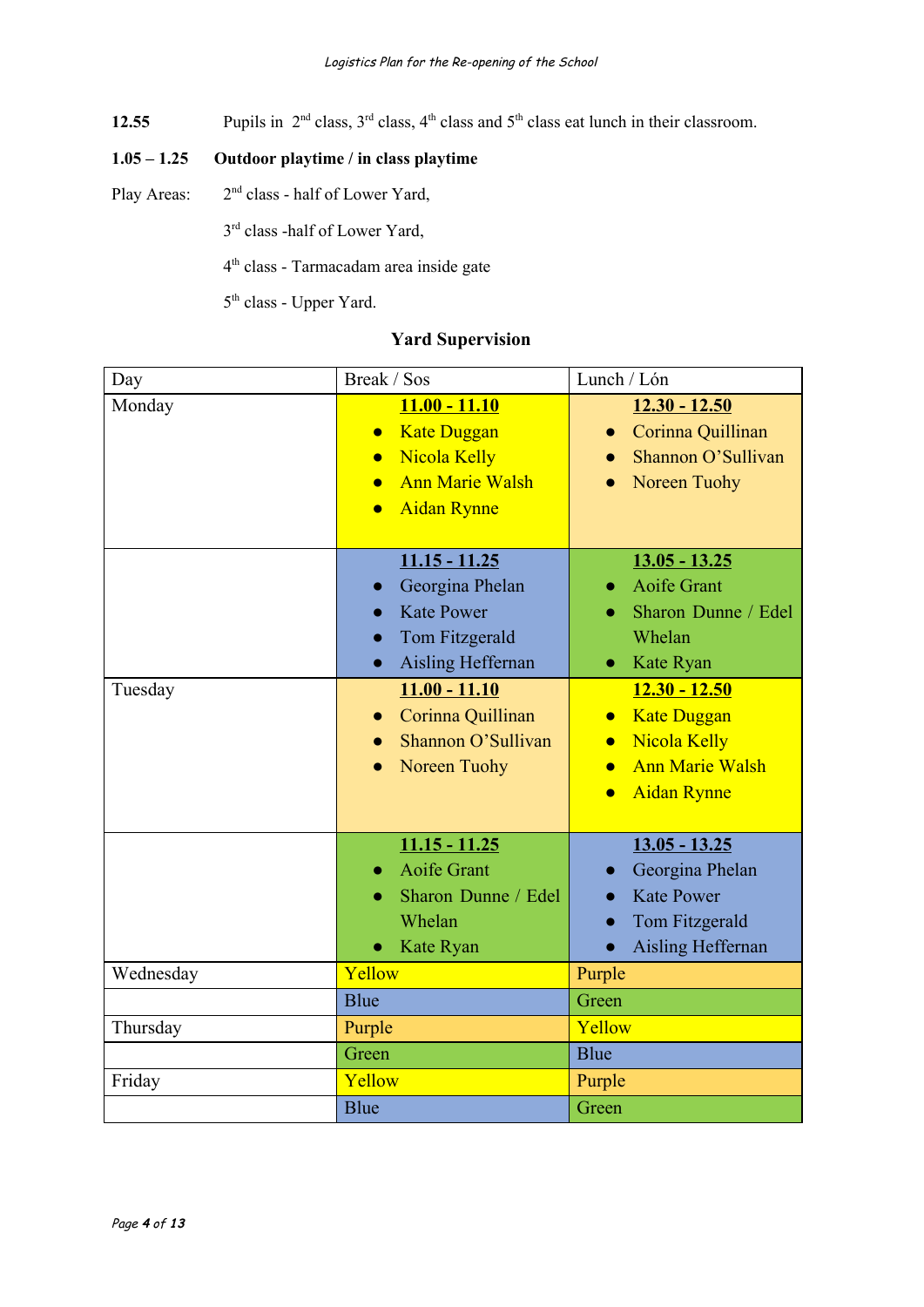12.55 Pupils in  $2<sup>nd</sup>$  class,  $3<sup>rd</sup>$  class,  $4<sup>th</sup>$  class and  $5<sup>th</sup>$  class eat lunch in their classroom.

# **1.05 – 1.25 Outdoor playtime / in class playtime**

Play Areas:  $2<sup>nd</sup>$  class - half of Lower Yard,

3<sup>rd</sup> class -half of Lower Yard,

4 th class - Tarmacadam area inside gate

5<sup>th</sup> class - Upper Yard.

# **Yard Supervision**

| Day       | Break / Sos                                                                                                                                                      | Lunch / Lón                                                                                                                                                      |
|-----------|------------------------------------------------------------------------------------------------------------------------------------------------------------------|------------------------------------------------------------------------------------------------------------------------------------------------------------------|
| Monday    | $11.00 - 11.10$<br><b>Kate Duggan</b><br>$\bullet$<br><b>Nicola Kelly</b><br>$\bullet$<br><b>Ann Marie Walsh</b><br>$\bullet$<br><b>Aidan Rynne</b><br>$\bullet$ | $12.30 - 12.50$<br>Corinna Quillinan<br>$\bullet$<br>Shannon O'Sullivan<br>Noreen Tuohy                                                                          |
|           | $11.15 - 11.25$<br>Georgina Phelan<br><b>Kate Power</b><br>$\bullet$<br>Tom Fitzgerald<br>Aisling Heffernan<br>$\bullet$                                         | $13.05 - 13.25$<br><b>Aoife Grant</b><br>Sharon Dunne / Edel<br>Whelan<br>Kate Ryan<br>$\bullet$                                                                 |
| Tuesday   | $11.00 - 11.10$<br>Corinna Quillinan<br>$\bullet$<br>Shannon O'Sullivan<br>Noreen Tuohy                                                                          | $12.30 - 12.50$<br><b>Kate Duggan</b><br>$\bullet$<br><b>Nicola Kelly</b><br>$\bullet$<br><b>Ann Marie Walsh</b><br>$\bullet$<br><b>Aidan Rynne</b><br>$\bullet$ |
|           | $11.15 - 11.25$<br><b>Aoife Grant</b><br>Sharon Dunne / Edel<br>Whelan<br>Kate Ryan                                                                              | $13.05 - 13.25$<br>Georgina Phelan<br><b>Kate Power</b><br>Tom Fitzgerald<br><b>Aisling Heffernan</b><br>$\bullet$                                               |
| Wednesday | Yellow                                                                                                                                                           | Purple                                                                                                                                                           |
|           | Blue                                                                                                                                                             | Green                                                                                                                                                            |
| Thursday  | Purple                                                                                                                                                           | Yellow                                                                                                                                                           |
|           | Green                                                                                                                                                            | <b>Blue</b>                                                                                                                                                      |
| Friday    | Yellow                                                                                                                                                           | Purple                                                                                                                                                           |
|           | <b>Blue</b>                                                                                                                                                      | Green                                                                                                                                                            |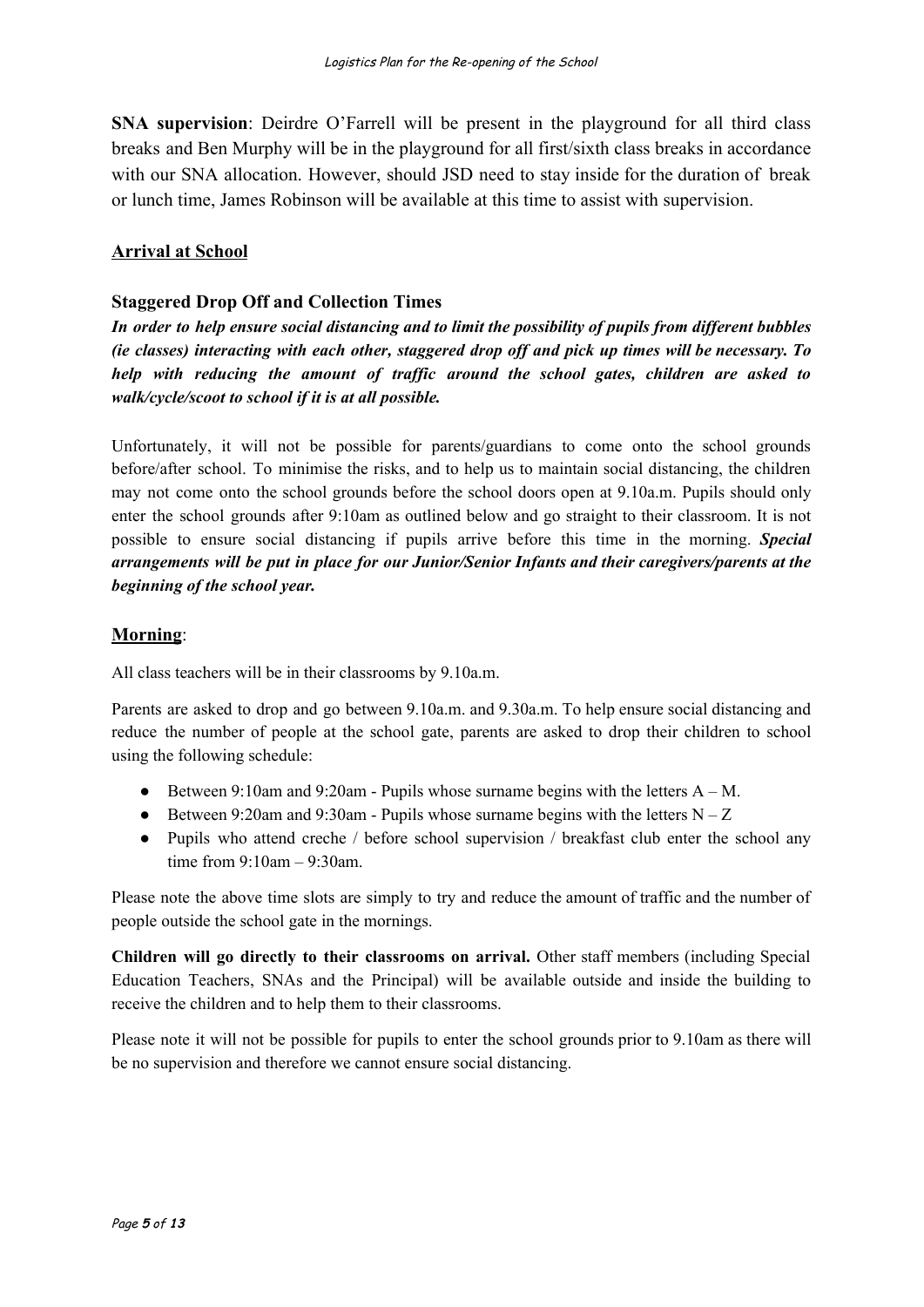**SNA supervision**: Deirdre O'Farrell will be present in the playground for all third class breaks and Ben Murphy will be in the playground for all first/sixth class breaks in accordance with our SNA allocation. However, should JSD need to stay inside for the duration of break or lunch time, James Robinson will be available at this time to assist with supervision.

#### **Arrival at School**

#### **Staggered Drop Off and Collection Times**

In order to help ensure social distancing and to limit the possibility of pupils from different bubbles *(ie classes) interacting with each other, staggered drop of and pick up times will be necessary. To help with reducing the amount of traf ic around the school gates, children are asked to walk/cycle/scoot to school if it is at all possible.*

Unfortunately, it will not be possible for parents/guardians to come onto the school grounds before/after school. To minimise the risks, and to help us to maintain social distancing, the children may not come onto the school grounds before the school doors open at 9.10a.m. Pupils should only enter the school grounds after 9:10am as outlined below and go straight to their classroom. It is not possible to ensure social distancing if pupils arrive before this time in the morning. *Special arrangements will be put in place for our Junior/Senior Infants and their caregivers/parents at the beginning of the school year.*

#### **Morning**:

All class teachers will be in their classrooms by 9.10a.m.

Parents are asked to drop and go between 9.10a.m. and 9.30a.m. To help ensure social distancing and reduce the number of people at the school gate, parents are asked to drop their children to school using the following schedule:

- Between 9:10am and 9:20am Pupils whose surname begins with the letters  $A M$ .
- Between 9:20am and 9:30am Pupils whose surname begins with the letters  $N Z$
- Pupils who attend creche / before school supervision / breakfast club enter the school any time from 9:10am – 9:30am.

Please note the above time slots are simply to try and reduce the amount of traffic and the number of people outside the school gate in the mornings.

**Children will go directly to their classrooms on arrival.** Other staff members (including Special Education Teachers, SNAs and the Principal) will be available outside and inside the building to receive the children and to help them to their classrooms.

Please note it will not be possible for pupils to enter the school grounds prior to 9.10am as there will be no supervision and therefore we cannot ensure social distancing.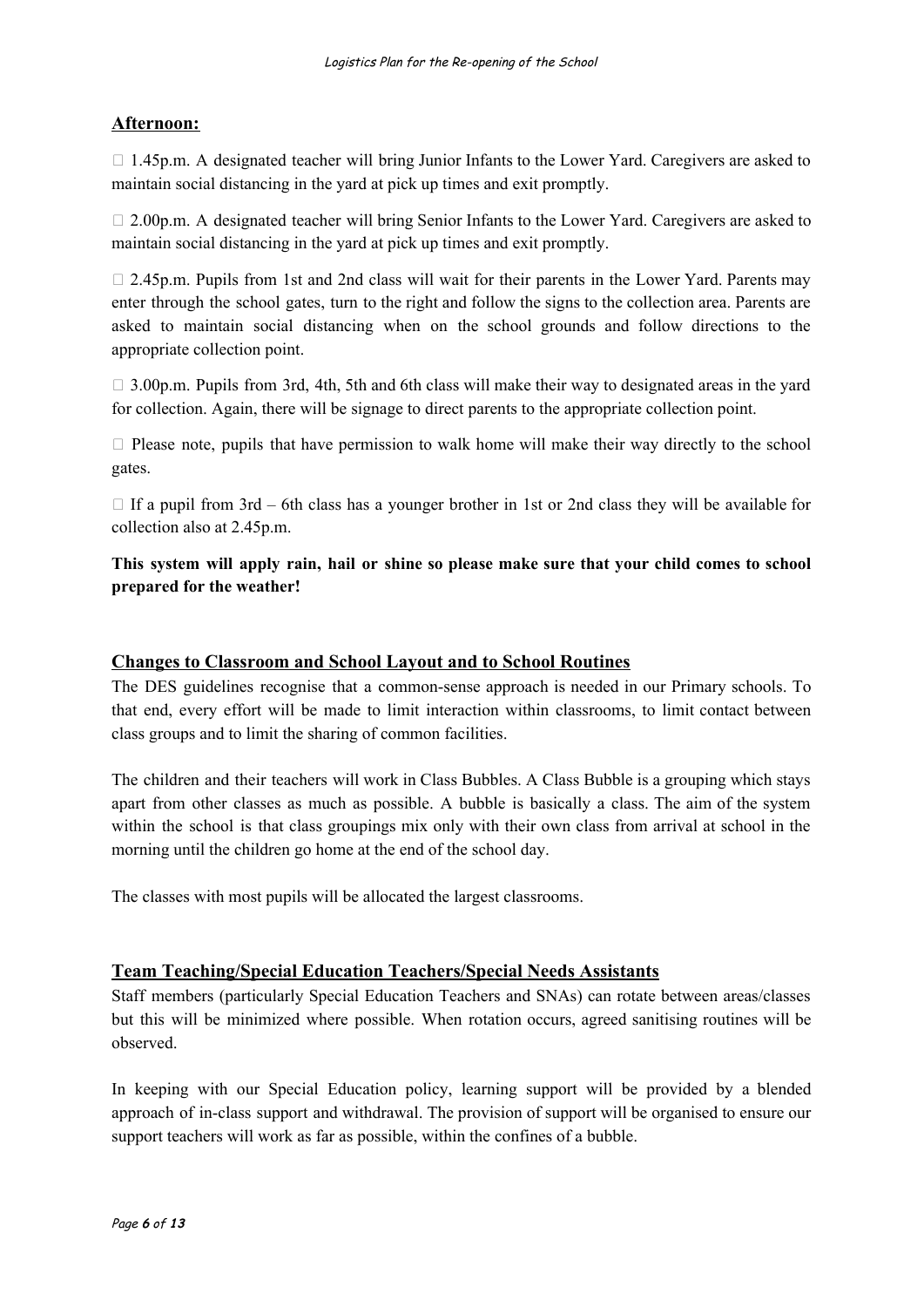# **Afternoon:**

 $\Box$  1.45p.m. A designated teacher will bring Junior Infants to the Lower Yard. Caregivers are asked to maintain social distancing in the yard at pick up times and exit promptly.

 $\Box$  2.00p.m. A designated teacher will bring Senior Infants to the Lower Yard. Caregivers are asked to maintain social distancing in the yard at pick up times and exit promptly.

 $\Box$  2.45p.m. Pupils from 1st and 2nd class will wait for their parents in the Lower Yard. Parents may enter through the school gates, turn to the right and follow the signs to the collection area. Parents are asked to maintain social distancing when on the school grounds and follow directions to the appropriate collection point.

 $\Box$  3.00p.m. Pupils from 3rd, 4th, 5th and 6th class will make their way to designated areas in the yard for collection. Again, there will be signage to direct parents to the appropriate collection point.

 $\Box$  Please note, pupils that have permission to walk home will make their way directly to the school gates.

 $\Box$  If a pupil from 3rd – 6th class has a younger brother in 1st or 2nd class they will be available for collection also at 2.45p.m.

**This system will apply rain, hail or shine so please make sure that your child comes to school prepared for the weather!**

#### **Changes to Classroom and School Layout and to School Routines**

The DES guidelines recognise that a common-sense approach is needed in our Primary schools. To that end, every effort will be made to limit interaction within classrooms, to limit contact between class groups and to limit the sharing of common facilities.

The children and their teachers will work in Class Bubbles. A Class Bubble is a grouping which stays apart from other classes as much as possible. A bubble is basically a class. The aim of the system within the school is that class groupings mix only with their own class from arrival at school in the morning until the children go home at the end of the school day.

The classes with most pupils will be allocated the largest classrooms.

#### **Team Teaching/Special Education Teachers/Special Needs Assistants**

Staff members (particularly Special Education Teachers and SNAs) can rotate between areas/classes but this will be minimized where possible. When rotation occurs, agreed sanitising routines will be observed.

In keeping with our Special Education policy, learning support will be provided by a blended approach of in-class support and withdrawal. The provision of support will be organised to ensure our support teachers will work as far as possible, within the confines of a bubble.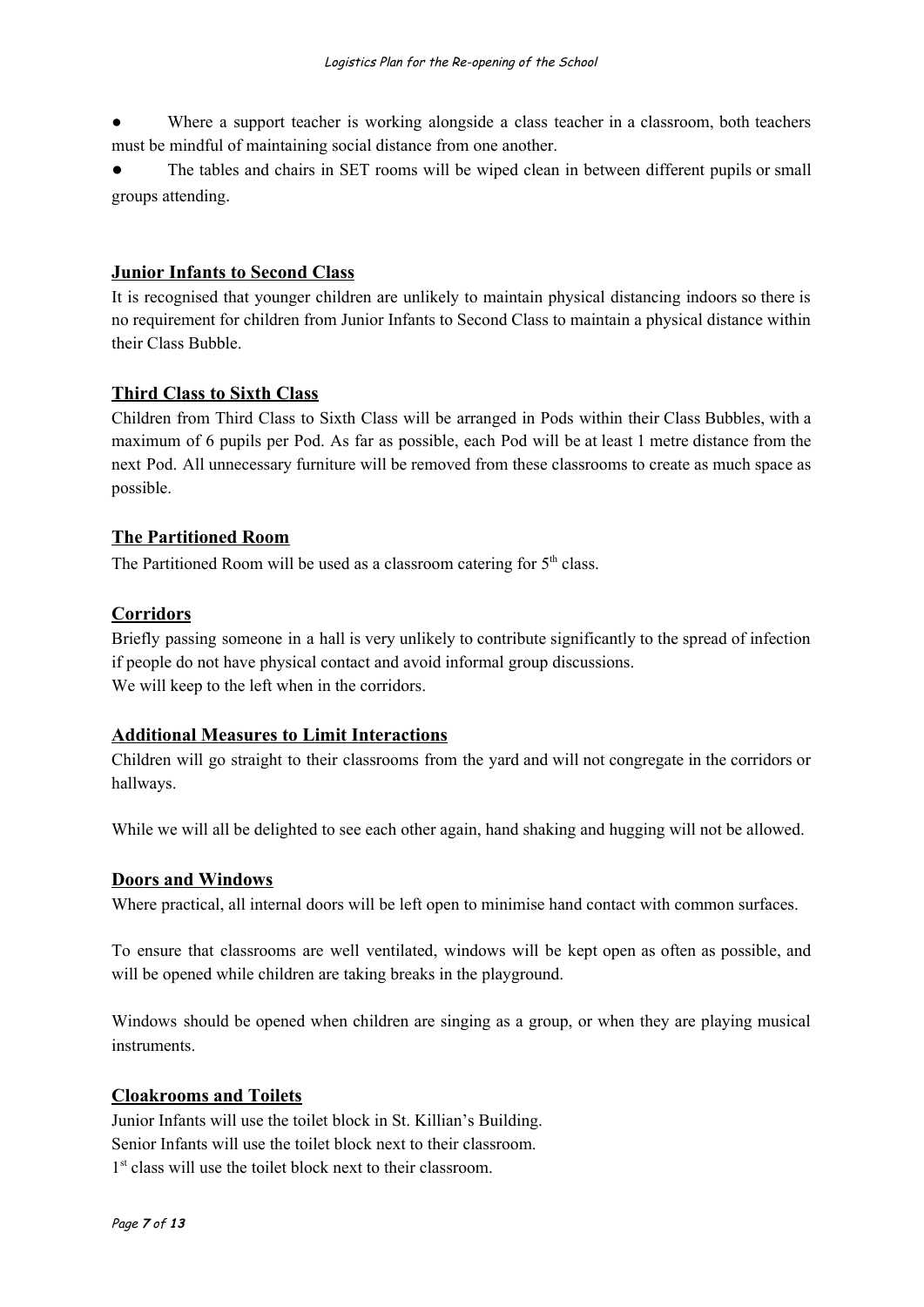Where a support teacher is working alongside a class teacher in a classroom, both teachers must be mindful of maintaining social distance from one another.

The tables and chairs in SET rooms will be wiped clean in between different pupils or small groups attending.

#### **Junior Infants to Second Class**

It is recognised that younger children are unlikely to maintain physical distancing indoors so there is no requirement for children from Junior Infants to Second Class to maintain a physical distance within their Class Bubble.

#### **Third Class to Sixth Class**

Children from Third Class to Sixth Class will be arranged in Pods within their Class Bubbles, with a maximum of 6 pupils per Pod. As far as possible, each Pod will be at least 1 metre distance from the next Pod. All unnecessary furniture will be removed from these classrooms to create as much space as possible.

#### **The Partitioned Room**

The Partitioned Room will be used as a classroom catering for  $5<sup>th</sup>$  class.

#### **Corridors**

Briefly passing someone in a hall is very unlikely to contribute significantly to the spread of infection if people do not have physical contact and avoid informal group discussions. We will keep to the left when in the corridors.

#### **Additional Measures to Limit Interactions**

Children will go straight to their classrooms from the yard and will not congregate in the corridors or hallways.

While we will all be delighted to see each other again, hand shaking and hugging will not be allowed.

#### **Doors and Windows**

Where practical, all internal doors will be left open to minimise hand contact with common surfaces.

To ensure that classrooms are well ventilated, windows will be kept open as often as possible, and will be opened while children are taking breaks in the playground.

Windows should be opened when children are singing as a group, or when they are playing musical instruments.

#### **Cloakrooms and Toilets**

Junior Infants will use the toilet block in St. Killian's Building. Senior Infants will use the toilet block next to their classroom. 1<sup>st</sup> class will use the toilet block next to their classroom.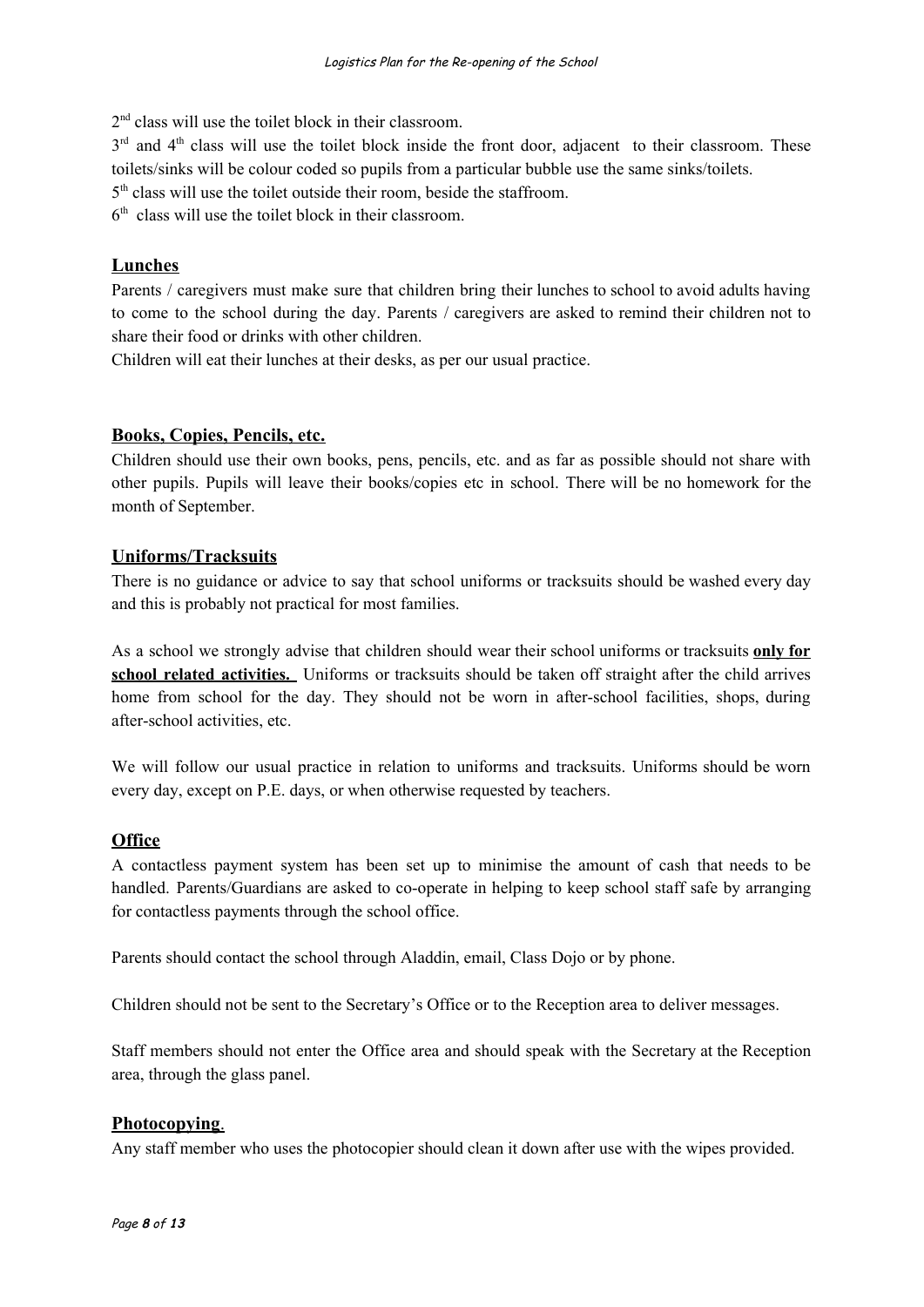2<sup>nd</sup> class will use the toilet block in their classroom.

 $3<sup>rd</sup>$  and  $4<sup>th</sup>$  class will use the toilet block inside the front door, adjacent to their classroom. These toilets/sinks will be colour coded so pupils from a particular bubble use the same sinks/toilets.

5<sup>th</sup> class will use the toilet outside their room, beside the staffroom.

6 th class will use the toilet block in their classroom.

#### **Lunches**

Parents / caregivers must make sure that children bring their lunches to school to avoid adults having to come to the school during the day. Parents / caregivers are asked to remind their children not to share their food or drinks with other children.

Children will eat their lunches at their desks, as per our usual practice.

#### **Books, Copies, Pencils, etc.**

Children should use their own books, pens, pencils, etc. and as far as possible should not share with other pupils. Pupils will leave their books/copies etc in school. There will be no homework for the month of September.

#### **Uniforms/Tracksuits**

There is no guidance or advice to say that school uniforms or tracksuits should be washed every day and this is probably not practical for most families.

As a school we strongly advise that children should wear their school uniforms or tracksuits **only for school related activities.** Uniforms or tracksuits should be taken off straight after the child arrives home from school for the day. They should not be worn in after-school facilities, shops, during after-school activities, etc.

We will follow our usual practice in relation to uniforms and tracksuits. Uniforms should be worn every day, except on P.E. days, or when otherwise requested by teachers.

#### **Office**

A contactless payment system has been set up to minimise the amount of cash that needs to be handled. Parents/Guardians are asked to co-operate in helping to keep school staff safe by arranging for contactless payments through the school office.

Parents should contact the school through Aladdin, email, Class Dojo or by phone.

Children should not be sent to the Secretary's Office or to the Reception area to deliver messages.

Staff members should not enter the Office area and should speak with the Secretary at the Reception area, through the glass panel.

#### **Photocopying**.

Any staff member who uses the photocopier should clean it down after use with the wipes provided.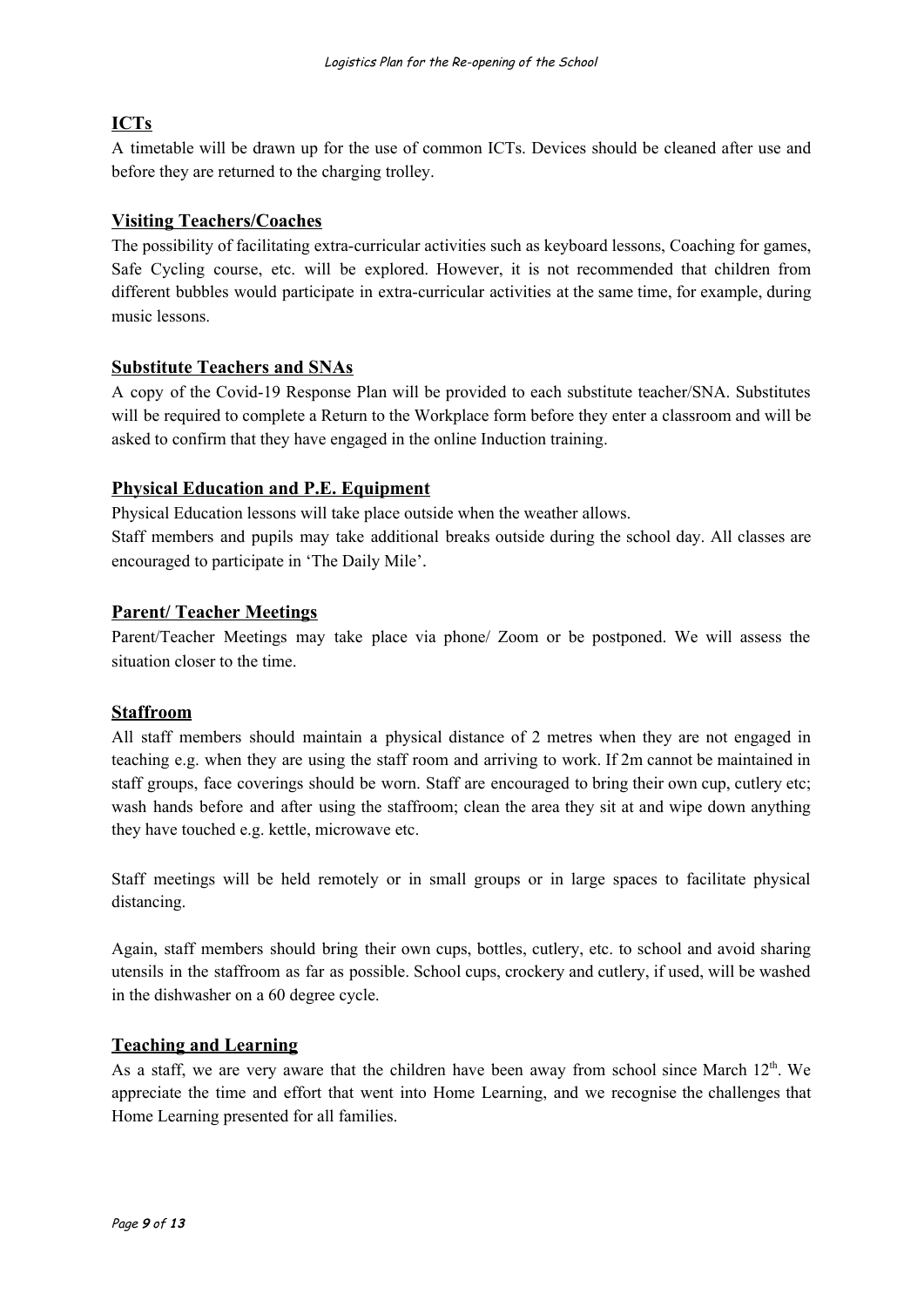# **ICTs**

A timetable will be drawn up for the use of common ICTs. Devices should be cleaned after use and before they are returned to the charging trolley.

#### **Visiting Teachers/Coaches**

The possibility of facilitating extra-curricular activities such as keyboard lessons, Coaching for games, Safe Cycling course, etc. will be explored. However, it is not recommended that children from different bubbles would participate in extra-curricular activities at the same time, for example, during music lessons.

#### **Substitute Teachers and SNAs**

A copy of the Covid-19 Response Plan will be provided to each substitute teacher/SNA. Substitutes will be required to complete a Return to the Workplace form before they enter a classroom and will be asked to confirm that they have engaged in the online Induction training.

#### **Physical Education and P.E. Equipment**

Physical Education lessons will take place outside when the weather allows. Staff members and pupils may take additional breaks outside during the school day. All classes are encouraged to participate in 'The Daily Mile'.

#### **Parent/ Teacher Meetings**

Parent/Teacher Meetings may take place via phone/ Zoom or be postponed. We will assess the situation closer to the time.

#### **Staffroom**

All staff members should maintain a physical distance of 2 metres when they are not engaged in teaching e.g. when they are using the staff room and arriving to work. If 2m cannot be maintained in staff groups, face coverings should be worn. Staff are encouraged to bring their own cup, cutlery etc; wash hands before and after using the staffroom; clean the area they sit at and wipe down anything they have touched e.g. kettle, microwave etc.

Staff meetings will be held remotely or in small groups or in large spaces to facilitate physical distancing.

Again, staff members should bring their own cups, bottles, cutlery, etc. to school and avoid sharing utensils in the staffroom as far as possible. School cups, crockery and cutlery, if used, will be washed in the dishwasher on a 60 degree cycle.

#### **Teaching and Learning**

As a staff, we are very aware that the children have been away from school since March  $12<sup>th</sup>$ . We appreciate the time and effort that went into Home Learning, and we recognise the challenges that Home Learning presented for all families.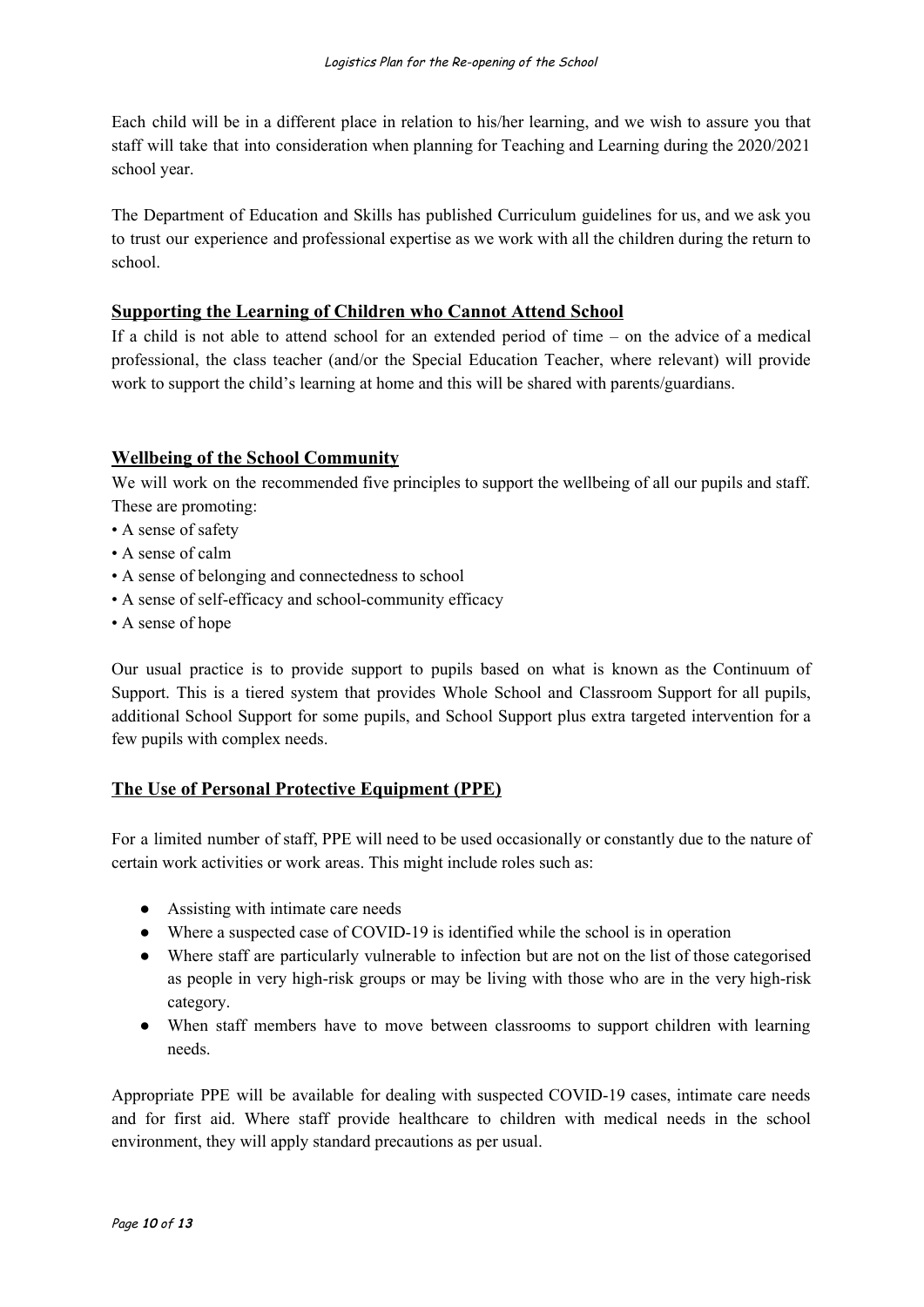Each child will be in a different place in relation to his/her learning, and we wish to assure you that staff will take that into consideration when planning for Teaching and Learning during the 2020/2021 school year.

The Department of Education and Skills has published Curriculum guidelines for us, and we ask you to trust our experience and professional expertise as we work with all the children during the return to school.

#### **Supporting the Learning of Children who Cannot Attend School**

If a child is not able to attend school for an extended period of time – on the advice of a medical professional, the class teacher (and/or the Special Education Teacher, where relevant) will provide work to support the child's learning at home and this will be shared with parents/guardians.

## **Wellbeing of the School Community**

We will work on the recommended five principles to support the wellbeing of all our pupils and staff. These are promoting:

- A sense of safety
- A sense of calm
- A sense of belonging and connectedness to school
- A sense of self-efficacy and school-community efficacy
- A sense of hope

Our usual practice is to provide support to pupils based on what is known as the Continuum of Support. This is a tiered system that provides Whole School and Classroom Support for all pupils, additional School Support for some pupils, and School Support plus extra targeted intervention for a few pupils with complex needs.

#### **The Use of Personal Protective Equipment (PPE)**

For a limited number of staff, PPE will need to be used occasionally or constantly due to the nature of certain work activities or work areas. This might include roles such as:

- Assisting with intimate care needs
- Where a suspected case of COVID-19 is identified while the school is in operation
- Where staff are particularly vulnerable to infection but are not on the list of those categorised as people in very high-risk groups or may be living with those who are in the very high-risk category.
- When staff members have to move between classrooms to support children with learning needs.

Appropriate PPE will be available for dealing with suspected COVID-19 cases, intimate care needs and for first aid. Where staff provide healthcare to children with medical needs in the school environment, they will apply standard precautions as per usual.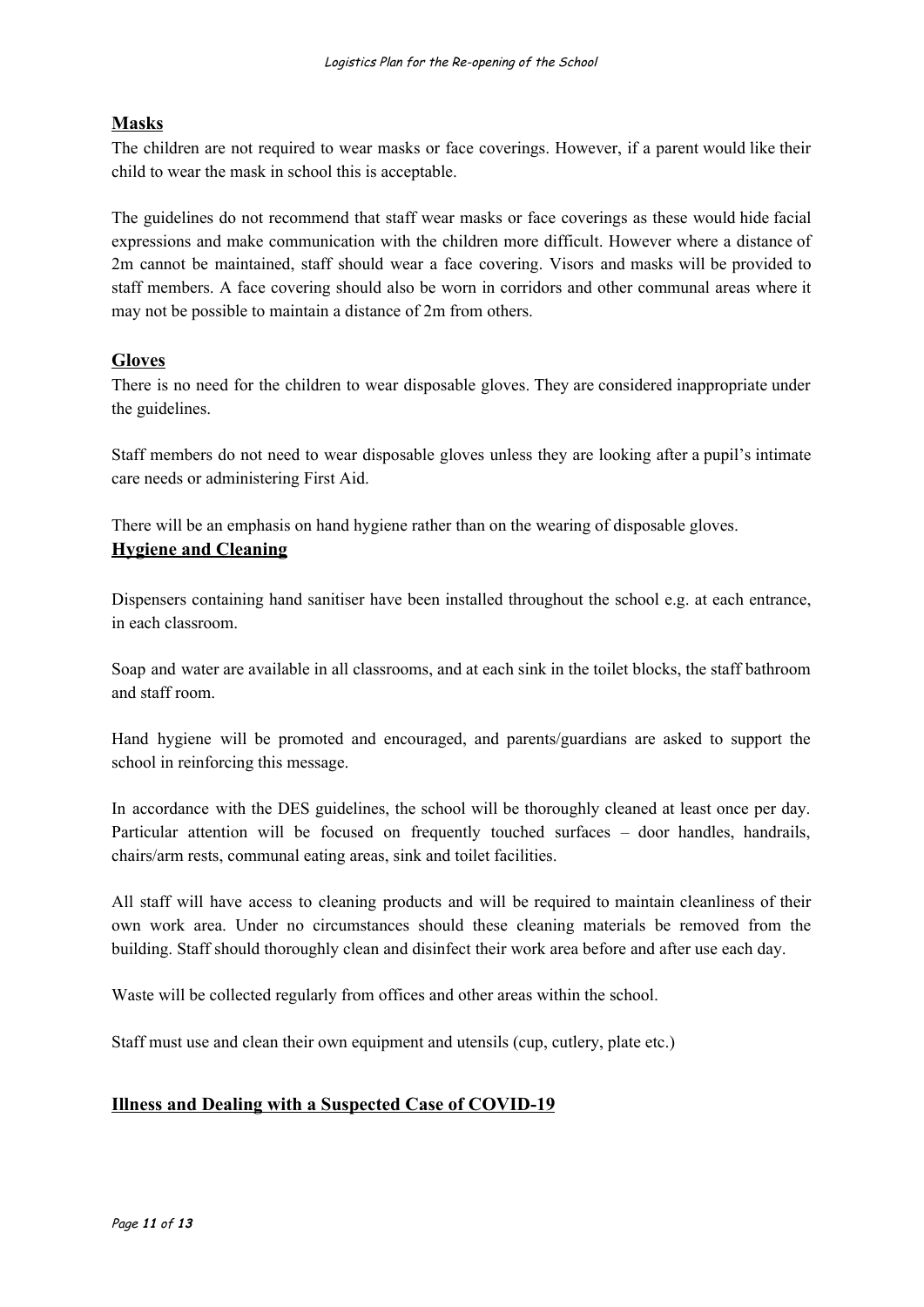# **Masks**

The children are not required to wear masks or face coverings. However, if a parent would like their child to wear the mask in school this is acceptable.

The guidelines do not recommend that staff wear masks or face coverings as these would hide facial expressions and make communication with the children more difficult. However where a distance of 2m cannot be maintained, staff should wear a face covering. Visors and masks will be provided to staff members. A face covering should also be worn in corridors and other communal areas where it may not be possible to maintain a distance of 2m from others.

## **Gloves**

There is no need for the children to wear disposable gloves. They are considered inappropriate under the guidelines.

Staff members do not need to wear disposable gloves unless they are looking after a pupil's intimate care needs or administering First Aid.

There will be an emphasis on hand hygiene rather than on the wearing of disposable gloves. **Hygiene and Cleaning**

Dispensers containing hand sanitiser have been installed throughout the school e.g. at each entrance, in each classroom.

Soap and water are available in all classrooms, and at each sink in the toilet blocks, the staff bathroom and staff room.

Hand hygiene will be promoted and encouraged, and parents/guardians are asked to support the school in reinforcing this message.

In accordance with the DES guidelines, the school will be thoroughly cleaned at least once per day. Particular attention will be focused on frequently touched surfaces - door handles, handrails, chairs/arm rests, communal eating areas, sink and toilet facilities.

All staff will have access to cleaning products and will be required to maintain cleanliness of their own work area. Under no circumstances should these cleaning materials be removed from the building. Staff should thoroughly clean and disinfect their work area before and after use each day.

Waste will be collected regularly from offices and other areas within the school.

Staff must use and clean their own equipment and utensils (cup, cutlery, plate etc.)

# **Illness and Dealing with a Suspected Case of COVID-19**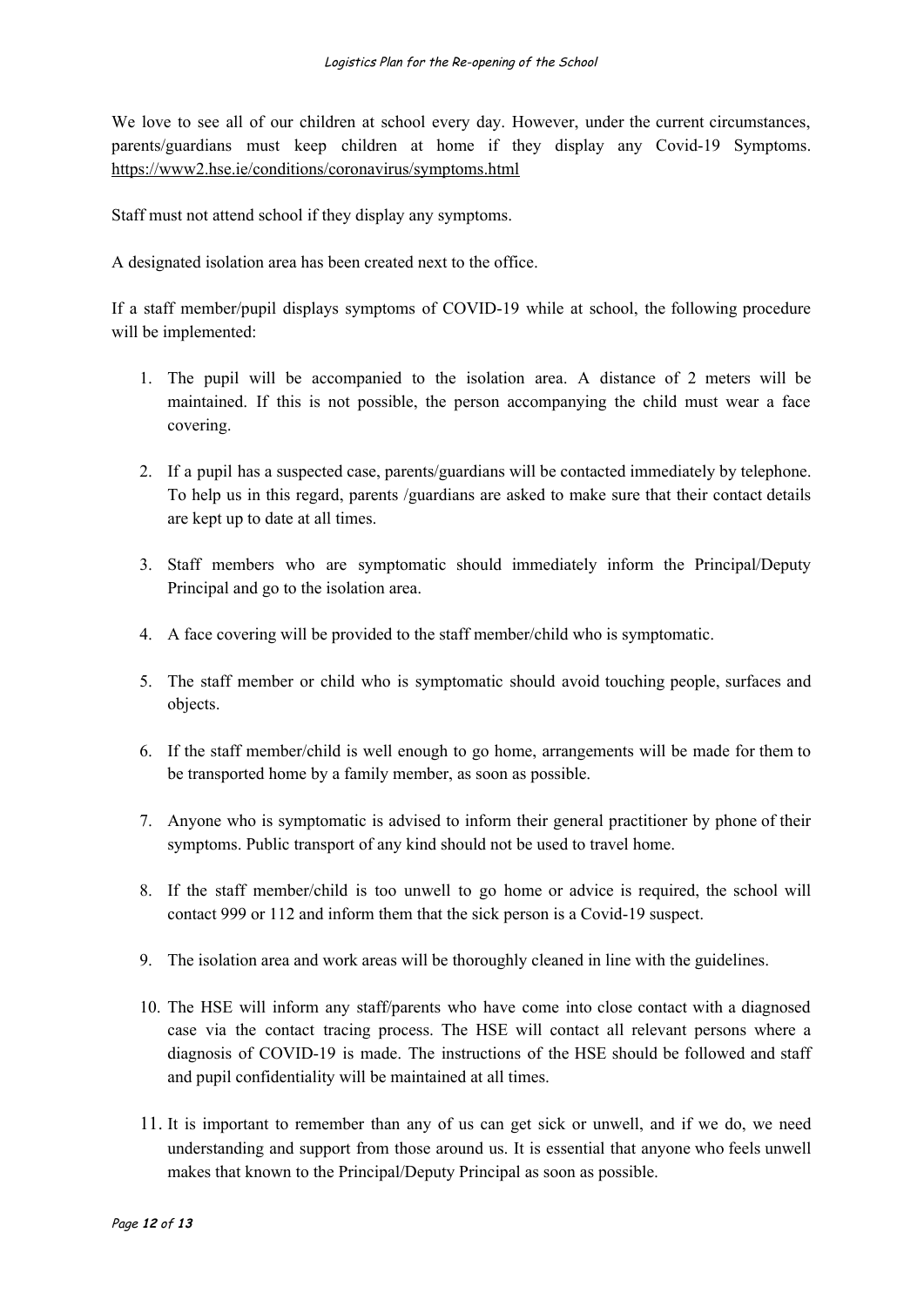We love to see all of our children at school every day. However, under the current circumstances, parents/guardians must keep children at home if they display any Covid-19 Symptoms. https://www2.hse.ie/conditions/coronavirus/symptoms.html

Staff must not attend school if they display any symptoms.

A designated isolation area has been created next to the office.

If a staff member/pupil displays symptoms of COVID-19 while at school, the following procedure will be implemented:

- 1. The pupil will be accompanied to the isolation area. A distance of 2 meters will be maintained. If this is not possible, the person accompanying the child must wear a face covering.
- 2. If a pupil has a suspected case, parents/guardians will be contacted immediately by telephone. To help us in this regard, parents /guardians are asked to make sure that their contact details are kept up to date at all times.
- 3. Staff members who are symptomatic should immediately inform the Principal/Deputy Principal and go to the isolation area.
- 4. A face covering will be provided to the staff member/child who is symptomatic.
- 5. The staff member or child who is symptomatic should avoid touching people, surfaces and objects.
- 6. If the staff member/child is well enough to go home, arrangements will be made for them to be transported home by a family member, as soon as possible.
- 7. Anyone who is symptomatic is advised to inform their general practitioner by phone of their symptoms. Public transport of any kind should not be used to travel home.
- 8. If the staff member/child is too unwell to go home or advice is required, the school will contact 999 or 112 and inform them that the sick person is a Covid-19 suspect.
- 9. The isolation area and work areas will be thoroughly cleaned in line with the guidelines.
- 10. The HSE will inform any staff/parents who have come into close contact with a diagnosed case via the contact tracing process. The HSE will contact all relevant persons where a diagnosis of COVID-19 is made. The instructions of the HSE should be followed and staff and pupil confidentiality will be maintained at all times.
- 11. It is important to remember than any of us can get sick or unwell, and if we do, we need understanding and support from those around us. It is essential that anyone who feels unwell makes that known to the Principal/Deputy Principal as soon as possible.